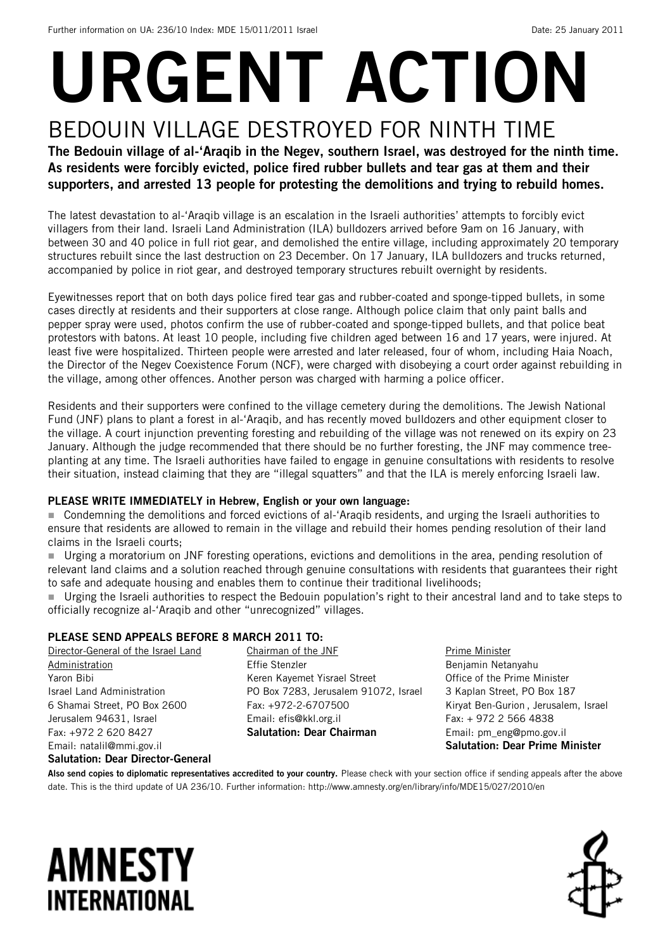# URGENT ACTION BEDOUIN VILLAGE DESTROYED FOR NINTH TIME

The Bedouin village of al-'Araqib in the Negev, southern Israel, was destroyed for the ninth time. As residents were forcibly evicted, police fired rubber bullets and tear gas at them and their supporters, and arrested 13 people for protesting the demolitions and trying to rebuild homes.

The latest devastation to al-'Araqib village is an escalation in the Israeli authorities' attempts to forcibly evict villagers from their land. Israeli Land Administration (ILA) bulldozers arrived before 9am on 16 January, with between 30 and 40 police in full riot gear, and demolished the entire village, including approximately 20 temporary structures rebuilt since the last destruction on 23 December. On 17 January, ILA bulldozers and trucks returned, accompanied by police in riot gear, and destroyed temporary structures rebuilt overnight by residents.

Eyewitnesses report that on both days police fired tear gas and rubber-coated and sponge-tipped bullets, in some cases directly at residents and their supporters at close range. Although police claim that only paint balls and pepper spray were used, photos confirm the use of rubber-coated and sponge-tipped bullets, and that police beat protestors with batons. At least 10 people, including five children aged between 16 and 17 years, were injured. At least five were hospitalized. Thirteen people were arrested and later released, four of whom, including Haia Noach, the Director of the Negev Coexistence Forum (NCF), were charged with disobeying a court order against rebuilding in the village, among other offences. Another person was charged with harming a police officer.

Residents and their supporters were confined to the village cemetery during the demolitions. The Jewish National Fund (JNF) plans to plant a forest in al-'Araqib, and has recently moved bulldozers and other equipment closer to the village. A court injunction preventing foresting and rebuilding of the village was not renewed on its expiry on 23 January. Although the judge recommended that there should be no further foresting, the JNF may commence treeplanting at any time. The Israeli authorities have failed to engage in genuine consultations with residents to resolve their situation, instead claiming that they are "illegal squatters" and that the ILA is merely enforcing Israeli law.

#### PLEASE WRITE IMMEDIATELY in Hebrew, English or your own language:

 Condemning the demolitions and forced evictions of al-'Araqib residents, and urging the Israeli authorities to ensure that residents are allowed to remain in the village and rebuild their homes pending resolution of their land claims in the Israeli courts;

 Urging a moratorium on JNF foresting operations, evictions and demolitions in the area, pending resolution of relevant land claims and a solution reached through genuine consultations with residents that guarantees their right to safe and adequate housing and enables them to continue their traditional livelihoods;

 Urging the Israeli authorities to respect the Bedouin population's right to their ancestral land and to take steps to officially recognize al-'Araqib and other "unrecognized" villages.

### PLEASE SEND APPEALS BEFORE 8 MARCH 2011 TO:

Director-General of the Israel Land Administration Yaron Bibi Israel Land Administration 6 Shamai Street, PO Box 2600 Jerusalem 94631, Israel Fax: +972 2 620 8427 Email: natalil@mmi.gov.il

Chairman of the JNF Effie Stenzler Keren Kayemet Yisrael Street PO Box 7283, Jerusalem 91072, Israel Fax: +972-2-6707500 Email: efis@kkl.org.il Salutation: Dear Chairman

Prime Minister Benjamin Netanyahu Office of the Prime Minister 3 Kaplan Street, PO Box 187 Kiryat Ben-Gurion , Jerusalem, Israel Fax: + 972 2 566 4838 Email: pm\_eng@pmo.gov.il Salutation: Dear Prime Minister

#### Salutation: Dear Director-General

Also send copies to diplomatic representatives accredited to your country. Please check with your section office if sending appeals after the above date. This is the third update of UA 236/10. Further information: http://www.amnesty.org/en/library/info/MDE15/027/2010/en

## **AMNESTY INTERNATIONAL**